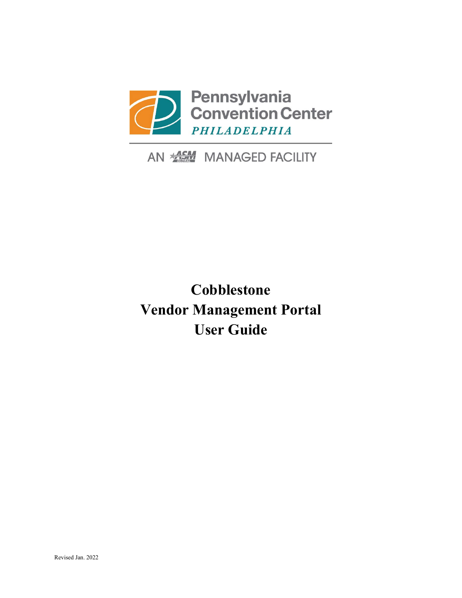

## AN **ALCON** MANAGED FACILITY

## **Cobblestone Vendor Management Portal User Guide**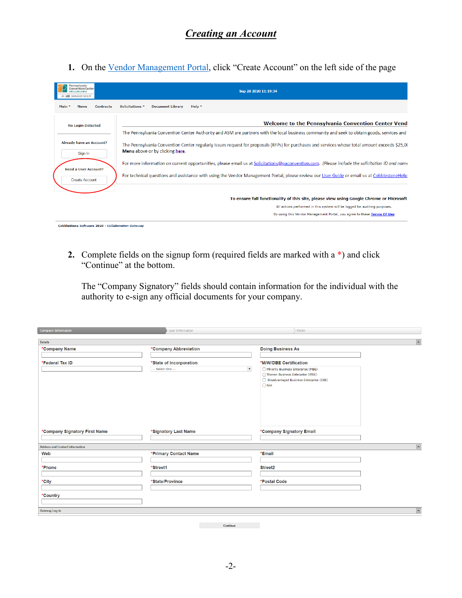1. On the [Vendor Management Portal,](https://paconvention.cobblestone.software/gateway/) click "Create Account" on the left side of the page

| ennsylvania<br>ention Center<br><b>MANAGED FACILITY</b> | Sep 28 2020 11:19:34                                                                                                                                                              |
|---------------------------------------------------------|-----------------------------------------------------------------------------------------------------------------------------------------------------------------------------------|
| Main $\overline{ }$<br><b>News</b><br><b>Contracts</b>  | <b>Document Library</b><br>Help $\overline{ }$<br>Solicitations "                                                                                                                 |
| <b>No Login Detected</b>                                | <b>Welcome to the Pennsylvania Convention Center Vend-</b>                                                                                                                        |
|                                                         | The Pennsylvania Convention Center Authority and ASM are partners with the local business community and seek to obtain goods, services and e                                      |
| <b>Already have an Account?</b><br>Sign In              | The Pennsylvania Convention Center regularly issues request for proposals (RFPs) for purchases and services whose total amount exceeds \$25,00<br>Menu above or by clicking here. |
| <b>Need a User Account?</b>                             | For more information on current opportunities, please email us at Solicitations@paconvention.com. (Please include the solicitation ID and name                                    |
| <b>Create Account</b>                                   | For technical questions and assistance with using the Vendor Management Portal, please review our User Guide or email us at Cobblestone Help                                      |
|                                                         |                                                                                                                                                                                   |
|                                                         | To ensure full functionality of this site, please view using Google Chrome or Microsoft                                                                                           |
|                                                         | All actions performed in this system will be logged for auditing purposes.                                                                                                        |
|                                                         | By using this Vendor Management Portal, you agree to these Terms Of Use                                                                                                           |

**2.** Complete fields on the signup form (required fields are marked with a \*) and click "Continue" at the bottom.

The "Company Signatory" fields should contain information for the individual with the authority to e-sign any official documents for your company.

| <b>Company Information</b>             | User Information                         | Finish                                                                |
|----------------------------------------|------------------------------------------|-----------------------------------------------------------------------|
| <b>Details</b>                         |                                          | $\overline{\phantom{a}}$                                              |
| *Company Name                          | *Company Abbreviation                    | <b>Doing Business As</b>                                              |
|                                        |                                          |                                                                       |
| *Federal Tax ID                        | *State of Incorporation                  | *M/W/DBE Certification                                                |
|                                        | $\blacktriangledown$<br>-- Select One -- | Minority Business Enterprise (MBE)<br>Women Business Enterprise (WBE) |
|                                        |                                          | Disadvantaged Business Enterprise (DBE)                               |
|                                        |                                          | $\Box N/A$                                                            |
|                                        |                                          |                                                                       |
|                                        |                                          |                                                                       |
|                                        |                                          |                                                                       |
|                                        |                                          |                                                                       |
|                                        |                                          |                                                                       |
| *Company Signatory First Name          | *Signatory Last Name                     | *Company Signatory Email                                              |
|                                        |                                          |                                                                       |
| <b>Address and Contact Information</b> |                                          | $\overline{\phantom{a}}$                                              |
| Web                                    | *Primary Contact Name                    | *Email                                                                |
|                                        |                                          |                                                                       |
| *Phone                                 | *Street1                                 | Street <sub>2</sub>                                                   |
|                                        |                                          |                                                                       |
| *City                                  | *State/Province                          | *Postal Code                                                          |
|                                        |                                          |                                                                       |
| *Country                               |                                          |                                                                       |
|                                        |                                          |                                                                       |
| <b>Gateway Log-in</b>                  |                                          | $\overline{\phantom{a}}$                                              |
|                                        |                                          |                                                                       |
|                                        | Continue                                 |                                                                       |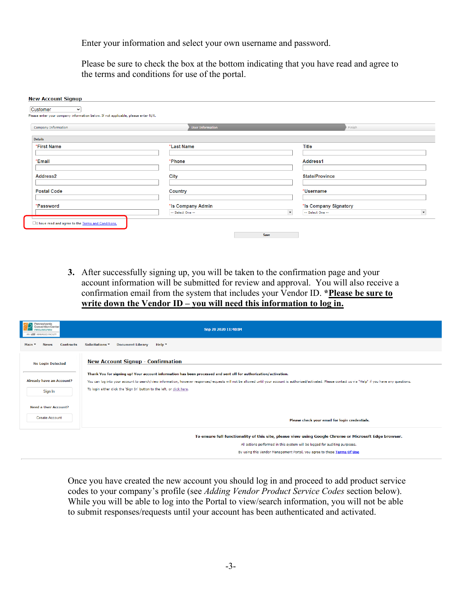Enter your information and select your own username and password.

Please be sure to check the box at the bottom indicating that you have read and agree to the terms and conditions for use of the portal.

| Please enter your company information below. If not applicable, please enter N/A. |                         |                                          |                      |
|-----------------------------------------------------------------------------------|-------------------------|------------------------------------------|----------------------|
| <b>Company Information</b>                                                        | <b>User Information</b> | Finish                                   |                      |
| <b>Details</b>                                                                    |                         |                                          |                      |
| *First Name                                                                       | *Last Name              | <b>Title</b>                             |                      |
| *Email                                                                            | *Phone                  | Address1                                 |                      |
| Address2                                                                          | City                    | <b>State/Province</b>                    |                      |
| <b>Postal Code</b>                                                                | Country                 | *Username                                |                      |
| *Password                                                                         | *Is Company Admin       | *Is Company Signatory                    |                      |
|                                                                                   | -- Select One --        | $\blacktriangledown$<br>-- Select One -- | $\blacktriangledown$ |

**3.** After successfully signing up, you will be taken to the confirmation page and your account information will be submitted for review and approval. You will also receive a confirmation email from the system that includes your Vendor ID. **\*Please be sure to write down the Vendor ID – you will need this information to log in.**

| ennsylvania<br>vention Cente<br>MANAGED FACILITY                                                       | Sep 28 2020 11:40:04                                                                                                                                                                                         |  |  |  |
|--------------------------------------------------------------------------------------------------------|--------------------------------------------------------------------------------------------------------------------------------------------------------------------------------------------------------------|--|--|--|
| <b>Document Library</b><br>Solicitations *<br>Help $\tau$<br>Main *<br><b>Contracts</b><br><b>News</b> |                                                                                                                                                                                                              |  |  |  |
| <b>No Login Detected</b>                                                                               | <b>New Account Signup - Confirmation</b>                                                                                                                                                                     |  |  |  |
|                                                                                                        | Thank You for signing up! Your account information has been processed and sent off for authorization/activation.                                                                                             |  |  |  |
| <b>Already have an Account?</b>                                                                        | You can log into your account to search/view information, however responses/requests will not be allowed until your account is authorized/activated. Please contact us via "Help" if you have any questions. |  |  |  |
| Sign In                                                                                                | To login either click the 'Sign In' button to the left, or click here.                                                                                                                                       |  |  |  |
| <b>Need a User Account?</b>                                                                            |                                                                                                                                                                                                              |  |  |  |
| <b>Create Account</b>                                                                                  | Please check your email for login credentials.                                                                                                                                                               |  |  |  |
|                                                                                                        | To ensure full functionality of this site, please view using Google Chrome or Microsoft Edge browser.                                                                                                        |  |  |  |
|                                                                                                        | All actions performed in this system will be logged for auditing purposes.                                                                                                                                   |  |  |  |
|                                                                                                        | By using this Vendor Management Portal, you agree to these Terms Of Use                                                                                                                                      |  |  |  |

Once you have created the new account you should log in and proceed to add product service codes to your company's profile (see *Adding Vendor Product Service Codes* section below). While you will be able to log into the Portal to view/search information, you will not be able to submit responses/requests until your account has been authenticated and activated.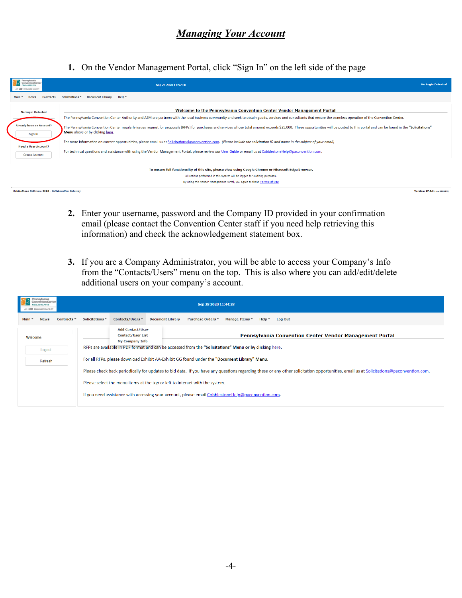**1.** On the Vendor Management Portal, click "Sign In" on the left side of the page

| Pennsylvania<br><b>Convention Center</b><br>PHILADELPHIA<br><b><i>NSH</i></b> MANAGED FACEITY      | <b>No Login Detected</b><br>Sep 28 2020 11:52:30                                                                                                                                                                                                                   |  |  |
|----------------------------------------------------------------------------------------------------|--------------------------------------------------------------------------------------------------------------------------------------------------------------------------------------------------------------------------------------------------------------------|--|--|
| <b>Contracts</b>                                                                                   | Solicitations " Document Library<br>Help *                                                                                                                                                                                                                         |  |  |
| Welcome to the Pennsylvania Convention Center Vendor Management Portal<br><b>No Login Detected</b> |                                                                                                                                                                                                                                                                    |  |  |
|                                                                                                    | The Pennsylvania Convention Center Authority and ASM are partners with the local business community and seek to obtain goods, services and consultants that ensure the seamless operation of the Convention Center.                                                |  |  |
| <b>Already have an Account?</b><br>Sign In                                                         | The Pennsylvania Convention Center regularly issues request for proposals (RFPs) for purchases and services whose total amount exceeds \$25,000. These opportunities will be posted to this portal and can be found in the "Sol<br>Menu above or by clicking here. |  |  |
| <b>Need a User Account?</b>                                                                        | For more information on current opportunities, please email us at Solicitations@paconvention.com. (Please include the solicitation ID and name in the subject of your email)                                                                                       |  |  |
| <b>Create Account</b>                                                                              | For technical questions and assistance with using the Vendor Management Portal, please review our User Guide or email us at CobblestoneHelp@paconvention.com.                                                                                                      |  |  |
|                                                                                                    | To ensure full functionality of this site, please view using Google Chrome or Microsoft Edge browser.                                                                                                                                                              |  |  |
|                                                                                                    | All actions performed in this system will be logged for auditing purposes.                                                                                                                                                                                         |  |  |
|                                                                                                    | By using this Vendor Management Portal, you agree to these Terms Of Use                                                                                                                                                                                            |  |  |
| CobbleStone Software 2020 - Collaboration Gateway                                                  | Version: 17.6.0 (rev 200519)                                                                                                                                                                                                                                       |  |  |

- **2.** Enter your username, password and the Company ID provided in your confirmation email (please contact the Convention Center staff if you need help retrieving this information) and check the acknowledgement statement box.
- **3.** If you are a Company Administrator, you will be able to access your Company's Info from the "Contacts/Users" menu on the top. This is also where you can add/edit/delete additional users on your company's account.

| Pennsylvania<br>nvention Center<br><b>LABREPHI</b><br>AN 100 MANAGED FACILITY | Sep 28 2020 11:44:28 |                                                                                                                                                                                        |                                                                               |                                                                                                 |  |
|-------------------------------------------------------------------------------|----------------------|----------------------------------------------------------------------------------------------------------------------------------------------------------------------------------------|-------------------------------------------------------------------------------|-------------------------------------------------------------------------------------------------|--|
| Main *<br><b>News</b>                                                         | Contracts =          | Solicitations <sup>*</sup>                                                                                                                                                             | Contacts/Users ▼                                                              | <b>Document Library</b><br>Purchase Orders ▼<br>Manage Items -<br>Help $\tau$<br><b>Log Out</b> |  |
| Welcome                                                                       |                      |                                                                                                                                                                                        | <b>Add Contact/User</b><br><b>Contact/User List</b><br><b>My Company Info</b> | <b>Pennsylvania Convention Center Vendor Management Portal</b>                                  |  |
| Logout                                                                        |                      | RFPs are available in PDF format and can be accessed from the "Solicitations" Menu or by clicking here.                                                                                |                                                                               |                                                                                                 |  |
| Refresh                                                                       |                      | For all RFPs, please download Exhibit AA-Exhibit GG found under the "Document Library" Menu.                                                                                           |                                                                               |                                                                                                 |  |
|                                                                               |                      | Please check back periodically for updates to bid data. If you have any questions regarding these or any other solicitation opportunities, email us at Solicitations@paconvention.com. |                                                                               |                                                                                                 |  |
|                                                                               |                      | Please select the menu items at the top or left to interact with the system.                                                                                                           |                                                                               |                                                                                                 |  |
|                                                                               |                      | If you need assistance with accessing your account, please email CobblestoneHelp@paconvention.com.                                                                                     |                                                                               |                                                                                                 |  |